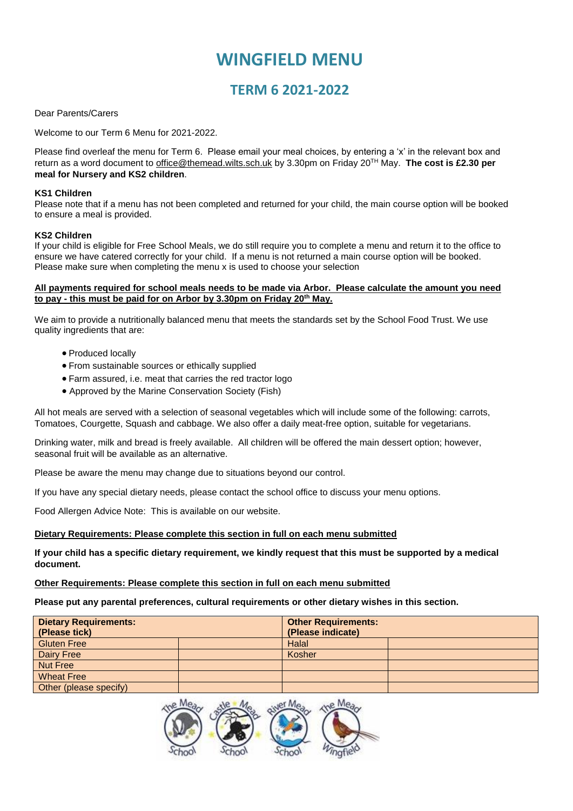# **WINGFIELD MENU**

## **TERM 6 2021-2022**

#### Dear Parents/Carers

Welcome to our Term 6 Menu for 2021-2022.

Please find overleaf the menu for Term 6. Please email your meal choices, by entering a 'x' in the relevant box and return as a word document to [office@themead.wilts.sch.uk](mailto:office@themead.wilts.sch.uk) by 3.30pm on Friday 20TH May. **The cost is £2.30 per meal for Nursery and KS2 children**.

#### **KS1 Children**

Please note that if a menu has not been completed and returned for your child, the main course option will be booked to ensure a meal is provided.

#### **KS2 Children**

If your child is eligible for Free School Meals, we do still require you to complete a menu and return it to the office to ensure we have catered correctly for your child. If a menu is not returned a main course option will be booked. Please make sure when completing the menu x is used to choose your selection

#### **All payments required for school meals needs to be made via Arbor. Please calculate the amount you need to pay - this must be paid for on Arbor by 3.30pm on Friday 20th May.**

We aim to provide a nutritionally balanced menu that meets the standards set by the School Food Trust. We use quality ingredients that are:

- Produced locally
- From sustainable sources or ethically supplied
- Farm assured, i.e. meat that carries the red tractor logo
- Approved by the Marine Conservation Society (Fish)

All hot meals are served with a selection of seasonal vegetables which will include some of the following: carrots, Tomatoes, Courgette, Squash and cabbage. We also offer a daily meat-free option, suitable for vegetarians.

Drinking water, milk and bread is freely available. All children will be offered the main dessert option; however, seasonal fruit will be available as an alternative.

Please be aware the menu may change due to situations beyond our control.

If you have any special dietary needs, please contact the school office to discuss your menu options.

Food Allergen Advice Note: This is available on our website.

#### **Dietary Requirements: Please complete this section in full on each menu submitted**

**If your child has a specific dietary requirement, we kindly request that this must be supported by a medical document.**

#### **Other Requirements: Please complete this section in full on each menu submitted**

**Please put any parental preferences, cultural requirements or other dietary wishes in this section.**

| <b>Dietary Requirements:</b> |  | <b>Other Requirements:</b> |  |  |  |  |
|------------------------------|--|----------------------------|--|--|--|--|
| (Please tick)                |  | (Please indicate)          |  |  |  |  |
| <b>Gluten Free</b>           |  | Halal                      |  |  |  |  |
| Dairy Free                   |  | Kosher                     |  |  |  |  |
| <b>Nut Free</b>              |  |                            |  |  |  |  |
| <b>Wheat Free</b>            |  |                            |  |  |  |  |
| Other (please specify)       |  |                            |  |  |  |  |

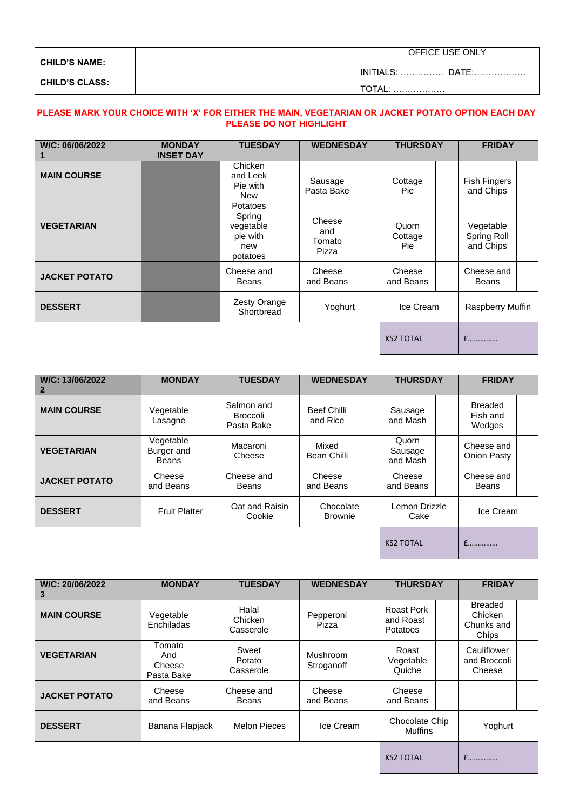| <b>CHILD'S NAME:</b>  | OFFICE USE ONLY         |
|-----------------------|-------------------------|
|                       | <b>INITIALS:  DATE:</b> |
| <b>CHILD'S CLASS:</b> | .                       |

### **PLEASE MARK YOUR CHOICE WITH 'X' FOR EITHER THE MAIN, VEGETARIAN OR JACKET POTATO OPTION EACH DAY PLEASE DO NOT HIGHLIGHT**

| W/C: 06/06/2022      | <b>MONDAY</b><br><b>INSET DAY</b> | <b>TUESDAY</b>                                     | <b>WEDNESDAY</b>                 | <b>THURSDAY</b>          |  | <b>FRIDAY</b>                         |  |
|----------------------|-----------------------------------|----------------------------------------------------|----------------------------------|--------------------------|--|---------------------------------------|--|
| <b>MAIN COURSE</b>   |                                   | Chicken<br>and Leek<br>Pie with<br>New<br>Potatoes | Sausage<br>Pasta Bake            | Cottage<br>Pie:          |  | <b>Fish Fingers</b><br>and Chips      |  |
| <b>VEGETARIAN</b>    |                                   | Spring<br>vegetable<br>pie with<br>new<br>potatoes | Cheese<br>and<br>Tomato<br>Pizza | Quorn<br>Cottage<br>Pie: |  | Vegetable<br>Spring Roll<br>and Chips |  |
| <b>JACKET POTATO</b> |                                   | Cheese and<br><b>Beans</b>                         | Cheese<br>and Beans              | Cheese<br>and Beans      |  | Cheese and<br><b>Beans</b>            |  |
| <b>DESSERT</b>       |                                   | Zesty Orange<br>Shortbread                         | Yoghurt                          | Ice Cream                |  | Raspberry Muffin                      |  |
|                      |                                   |                                                    |                                  | <b>KS2 TOTAL</b>         |  | $f$                                   |  |

| W/C: 13/06/2022      | <b>MONDAY</b>                    | <b>TUESDAY</b>                              |                | <b>WEDNESDAY</b>        |                             | <b>THURSDAY</b>              |  | <b>FRIDAY</b>                        |  |
|----------------------|----------------------------------|---------------------------------------------|----------------|-------------------------|-----------------------------|------------------------------|--|--------------------------------------|--|
| <b>MAIN COURSE</b>   | Vegetable<br>Lasagne             | Salmon and<br><b>Broccoli</b><br>Pasta Bake |                | Beef Chilli<br>and Rice |                             | Sausage<br>and Mash          |  | <b>Breaded</b><br>Fish and<br>Wedges |  |
| <b>VEGETARIAN</b>    | Vegetable<br>Burger and<br>Beans | Macaroni<br>Cheese                          |                | Mixed<br>Bean Chilli    |                             | Quorn<br>Sausage<br>and Mash |  | Cheese and<br><b>Onion Pasty</b>     |  |
| <b>JACKET POTATO</b> | Cheese<br>and Beans              | Cheese and<br>Beans                         |                | Cheese<br>and Beans     |                             | Cheese<br>and Beans          |  | Cheese and<br><b>Beans</b>           |  |
| <b>DESSERT</b>       | <b>Fruit Platter</b>             | Cookie                                      | Oat and Raisin |                         | Chocolate<br><b>Brownie</b> | Lemon Drizzle<br>Cake        |  | Ice Cream                            |  |
|                      |                                  |                                             |                |                         |                             | <b>KS2 TOTAL</b>             |  |                                      |  |

| W/C: 20/06/2022<br>З | <b>MONDAY</b>                         | <b>TUESDAY</b>                |              | <b>WEDNESDAY</b>       |           | <b>THURSDAY</b>                            |                | <b>FRIDAY</b>                                    |  |
|----------------------|---------------------------------------|-------------------------------|--------------|------------------------|-----------|--------------------------------------------|----------------|--------------------------------------------------|--|
| <b>MAIN COURSE</b>   | Vegetable<br>Enchiladas               | Halal<br>Chicken<br>Casserole |              | Pepperoni<br>Pizza     |           | Roast Pork<br>and Roast<br><b>Potatoes</b> |                | <b>Breaded</b><br>Chicken<br>Chunks and<br>Chips |  |
| <b>VEGETARIAN</b>    | Tomato<br>And<br>Cheese<br>Pasta Bake | Sweet<br>Potato<br>Casserole  |              | Mushroom<br>Stroganoff |           | Roast<br>Vegetable<br>Quiche               |                | Cauliflower<br>and Broccoli<br>Cheese            |  |
| <b>JACKET POTATO</b> | Cheese<br>and Beans                   | Cheese and<br>Beans           |              | Cheese<br>and Beans    |           | Cheese<br>and Beans                        |                |                                                  |  |
| <b>DESSERT</b>       | Banana Flapjack                       |                               | Melon Pieces |                        | Ice Cream |                                            | Chocolate Chip | Yoghurt                                          |  |
|                      |                                       |                               |              |                        |           |                                            |                |                                                  |  |

KS2 TOTAL £……………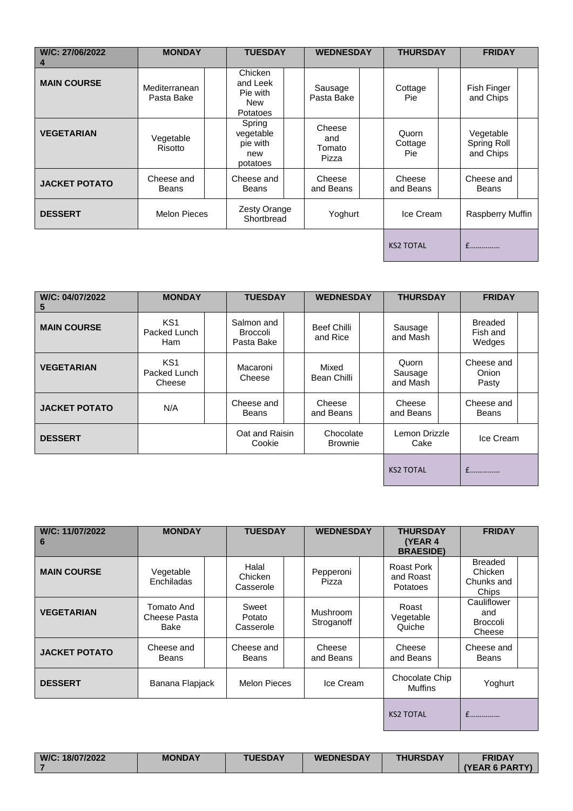| W/C: 27/06/2022<br>4 | <b>MONDAY</b>               | <b>TUESDAY</b>                                            |                                  | <b>WEDNESDAY</b> |                                | <b>THURSDAY</b> |                                       | <b>FRIDAY</b> |  |
|----------------------|-----------------------------|-----------------------------------------------------------|----------------------------------|------------------|--------------------------------|-----------------|---------------------------------------|---------------|--|
| <b>MAIN COURSE</b>   | Mediterranean<br>Pasta Bake | Chicken<br>and Leek<br>Pie with<br>New<br><b>Potatoes</b> | Sausage<br>Pasta Bake            |                  | Cottage<br><b>Pie</b>          |                 | Fish Finger<br>and Chips              |               |  |
| <b>VEGETARIAN</b>    | Vegetable<br>Risotto        | Spring<br>vegetable<br>pie with<br>new<br>potatoes        | Cheese<br>and<br>Tomato<br>Pizza |                  | Quorn<br>Cottage<br><b>Pie</b> |                 | Vegetable<br>Spring Roll<br>and Chips |               |  |
| <b>JACKET POTATO</b> | Cheese and<br><b>Beans</b>  | Cheese and<br><b>Beans</b>                                | Cheese<br>and Beans              |                  | Cheese<br>and Beans            |                 | Cheese and<br>Beans                   |               |  |
| <b>DESSERT</b>       | <b>Melon Pieces</b>         | Zesty Orange<br>Shortbread                                | Yoghurt                          |                  | Ice Cream                      |                 | Raspberry Muffin                      |               |  |
|                      |                             |                                                           |                                  |                  | <b>KS2 TOTAL</b>               |                 | f                                     |               |  |

| W/C: 04/07/2022<br>5 | <b>MONDAY</b>                                 | <b>TUESDAY</b>                       |                         | <b>WEDNESDAY</b>            |                              | <b>THURSDAY</b> | <b>FRIDAY</b>                        |  |
|----------------------|-----------------------------------------------|--------------------------------------|-------------------------|-----------------------------|------------------------------|-----------------|--------------------------------------|--|
| <b>MAIN COURSE</b>   | KS <sub>1</sub><br>Packed Lunch<br><b>Ham</b> | Salmon and<br>Broccoli<br>Pasta Bake | Beef Chilli<br>and Rice |                             | Sausage<br>and Mash          |                 | <b>Breaded</b><br>Fish and<br>Wedges |  |
| <b>VEGETARIAN</b>    | KS <sub>1</sub><br>Packed Lunch<br>Cheese     | Macaroni<br>Cheese                   | Mixed<br>Bean Chilli    |                             | Quorn<br>Sausage<br>and Mash |                 | Cheese and<br>Onion<br>Pasty         |  |
| <b>JACKET POTATO</b> | N/A                                           | Cheese and<br>Beans                  | Cheese<br>and Beans     |                             | Cheese<br>and Beans          |                 | Cheese and<br><b>Beans</b>           |  |
| <b>DESSERT</b>       |                                               | Oat and Raisin<br>Cookie             |                         | Chocolate<br><b>Brownie</b> |                              | Lemon Drizzle   | Ice Cream                            |  |
|                      |                                               |                                      |                         |                             | <b>KS2 TOTAL</b>             |                 | $f$                                  |  |

| W/C: 11/07/2022<br>6 | <b>MONDAY</b>                      | <b>TUESDAY</b>                | <b>WEDNESDAY</b>       | <b>THURSDAY</b><br>(YEAR 4<br><b>BRAESIDE)</b> | <b>FRIDAY</b>                                    |
|----------------------|------------------------------------|-------------------------------|------------------------|------------------------------------------------|--------------------------------------------------|
| <b>MAIN COURSE</b>   | Vegetable<br>Enchiladas            | Halal<br>Chicken<br>Casserole | Pepperoni<br>Pizza     | Roast Pork<br>and Roast<br>Potatoes            | <b>Breaded</b><br>Chicken<br>Chunks and<br>Chips |
| <b>VEGETARIAN</b>    | Tomato And<br>Cheese Pasta<br>Bake | Sweet<br>Potato<br>Casserole  | Mushroom<br>Stroganoff | Roast<br>Vegetable<br>Quiche                   | Cauliflower<br>and<br><b>Broccoli</b><br>Cheese  |
| <b>JACKET POTATO</b> | Cheese and<br>Beans                | Cheese and<br>Beans           | Cheese<br>and Beans    | Cheese<br>and Beans                            | Cheese and<br><b>Beans</b>                       |
| <b>DESSERT</b>       | Banana Flapjack                    | <b>Melon Pieces</b>           | Ice Cream              | Chocolate Chip<br><b>Muffins</b>               | Yoghurt                                          |
|                      |                                    |                               |                        | <b>KS2 TOTAL</b>                               | $f$                                              |

| W/C: 18/07/2022<br><b>TUESDAY</b><br><b>FRIDAY</b><br><b>THURSDAY</b><br><b>MONDAY</b><br><b>WEDNESDAY</b><br>$\Lambda$ (YEAR 6 PARTY) |
|----------------------------------------------------------------------------------------------------------------------------------------|
|----------------------------------------------------------------------------------------------------------------------------------------|